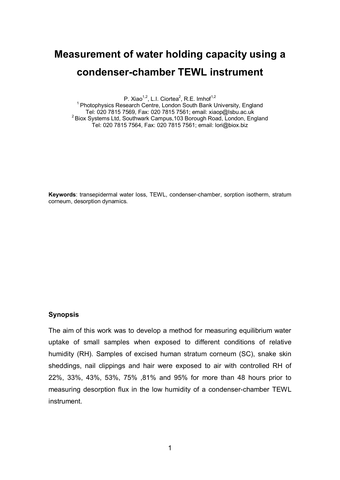# **Measurement of water holding capacity using a condenser-chamber TEWL instrument**

P. Xiao<sup>1,2</sup>, L.I. Ciortea<sup>2</sup>, R.E. Imhof<sup>1,2</sup>

<sup>1</sup> Photophysics Research Centre, London South Bank University, England Tel: 020 7815 7569, Fax: 020 7815 7561; email: xiaop@lsbu.ac.uk 2 Biox Systems Ltd, Southwark Campus,103 Borough Road, London, England Tel: 020 7815 7564, Fax: 020 7815 7561; email: lori@biox.biz

**Keywords**: transepidermal water loss, TEWL, condenser-chamber, sorption isotherm, stratum corneum, desorption dynamics.

### **Synopsis**

The aim of this work was to develop a method for measuring equilibrium water uptake of small samples when exposed to different conditions of relative humidity (RH). Samples of excised human stratum corneum (SC), snake skin sheddings, nail clippings and hair were exposed to air with controlled RH of 22%, 33%, 43%, 53%, 75% ,81% and 95% for more than 48 hours prior to measuring desorption flux in the low humidity of a condenser-chamber TEWL instrument.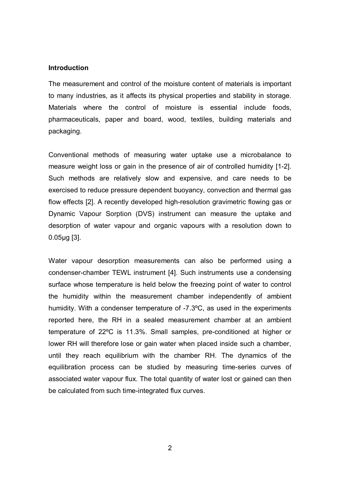#### **Introduction**

The measurement and control of the moisture content of materials is important to many industries, as it affects its physical properties and stability in storage. Materials where the control of moisture is essential include foods, pharmaceuticals, paper and board, wood, textiles, building materials and packaging.

Conventional methods of measuring water uptake use a microbalance to measure weight loss or gain in the presence of air of controlled humidity [1-2]. Such methods are relatively slow and expensive, and care needs to be exercised to reduce pressure dependent buoyancy, convection and thermal gas flow effects [2]. A recently developed high-resolution gravimetric flowing gas or Dynamic Vapour Sorption (DVS) instrument can measure the uptake and desorption of water vapour and organic vapours with a resolution down to 0.05µg [3].

Water vapour desorption measurements can also be performed using a condenser-chamber TEWL instrument [4]. Such instruments use a condensing surface whose temperature is held below the freezing point of water to control the humidity within the measurement chamber independently of ambient humidity. With a condenser temperature of -7.3ºC, as used in the experiments reported here, the RH in a sealed measurement chamber at an ambient temperature of 22ºC is 11.3%. Small samples, pre-conditioned at higher or lower RH will therefore lose or gain water when placed inside such a chamber, until they reach equilibrium with the chamber RH. The dynamics of the equilibration process can be studied by measuring time-series curves of associated water vapour flux. The total quantity of water lost or gained can then be calculated from such time-integrated flux curves.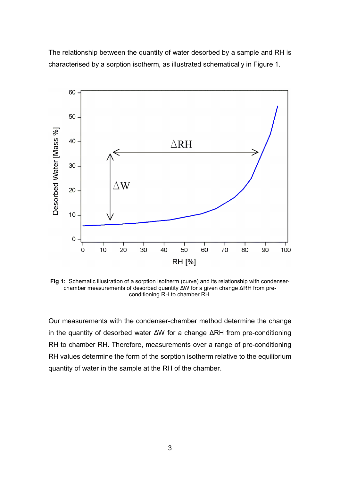The relationship between the quantity of water desorbed by a sample and RH is characterised by a sorption isotherm, as illustrated schematically in Figure 1.



**Fig 1:** Schematic illustration of a sorption isotherm (curve) and its relationship with condenserchamber measurements of desorbed quantity ΔW for a given change ΔRH from preconditioning RH to chamber RH.

Our measurements with the condenser-chamber method determine the change in the quantity of desorbed water ΔW for a change ΔRH from pre-conditioning RH to chamber RH. Therefore, measurements over a range of pre-conditioning RH values determine the form of the sorption isotherm relative to the equilibrium quantity of water in the sample at the RH of the chamber.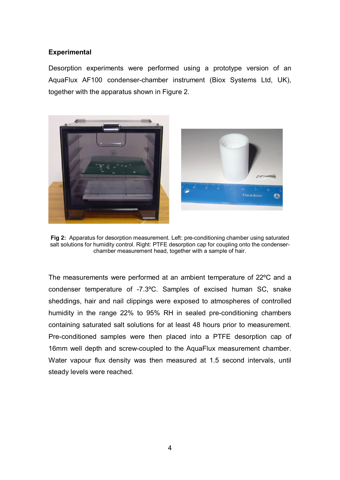## **Experimental**

Desorption experiments were performed using a prototype version of an AquaFlux AF100 condenser-chamber instrument (Biox Systems Ltd, UK), together with the apparatus shown in Figure 2.





**Fig 2:** Apparatus for desorption measurement. Left: pre-conditioning chamber using saturated salt solutions for humidity control. Right: PTFE desorption cap for coupling onto the condenserchamber measurement head, together with a sample of hair.

The measurements were performed at an ambient temperature of 22ºC and a condenser temperature of -7.3ºC. Samples of excised human SC, snake sheddings, hair and nail clippings were exposed to atmospheres of controlled humidity in the range 22% to 95% RH in sealed pre-conditioning chambers containing saturated salt solutions for at least 48 hours prior to measurement. Pre-conditioned samples were then placed into a PTFE desorption cap of 16mm well depth and screw-coupled to the AquaFlux measurement chamber. Water vapour flux density was then measured at 1.5 second intervals, until steady levels were reached.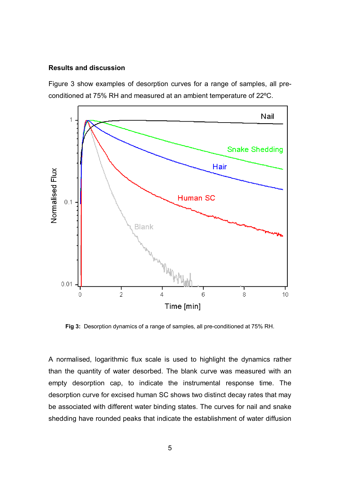#### **Results and discussion**

Figure 3 show examples of desorption curves for a range of samples, all preconditioned at 75% RH and measured at an ambient temperature of 22ºC.



**Fig 3:** Desorption dynamics of a range of samples, all pre-conditioned at 75% RH.

A normalised, logarithmic flux scale is used to highlight the dynamics rather than the quantity of water desorbed. The blank curve was measured with an empty desorption cap, to indicate the instrumental response time. The desorption curve for excised human SC shows two distinct decay rates that may be associated with different water binding states. The curves for nail and snake shedding have rounded peaks that indicate the establishment of water diffusion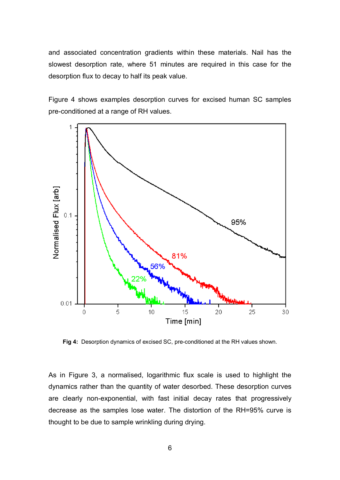and associated concentration gradients within these materials. Nail has the slowest desorption rate, where 51 minutes are required in this case for the desorption flux to decay to half its peak value.

Figure 4 shows examples desorption curves for excised human SC samples pre-conditioned at a range of RH values.



**Fig 4:** Desorption dynamics of excised SC, pre-conditioned at the RH values shown.

As in Figure 3, a normalised, logarithmic flux scale is used to highlight the dynamics rather than the quantity of water desorbed. These desorption curves are clearly non-exponential, with fast initial decay rates that progressively decrease as the samples lose water. The distortion of the RH=95% curve is thought to be due to sample wrinkling during drying.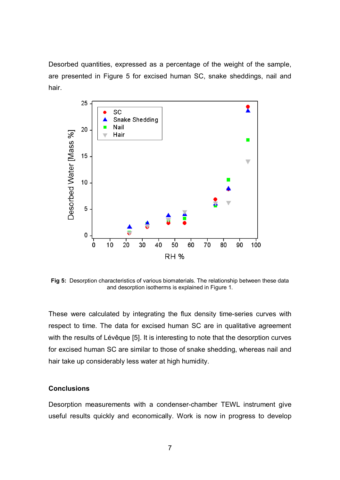Desorbed quantities, expressed as a percentage of the weight of the sample, are presented in Figure 5 for excised human SC, snake sheddings, nail and hair.



**Fig 5:** Desorption characteristics of various biomaterials. The relationship between these data and desorption isotherms is explained in Figure 1.

These were calculated by integrating the flux density time-series curves with respect to time. The data for excised human SC are in qualitative agreement with the results of Lévêque [5]. It is interesting to note that the desorption curves for excised human SC are similar to those of snake shedding, whereas nail and hair take up considerably less water at high humidity.

#### **Conclusions**

Desorption measurements with a condenser-chamber TEWL instrument give useful results quickly and economically. Work is now in progress to develop